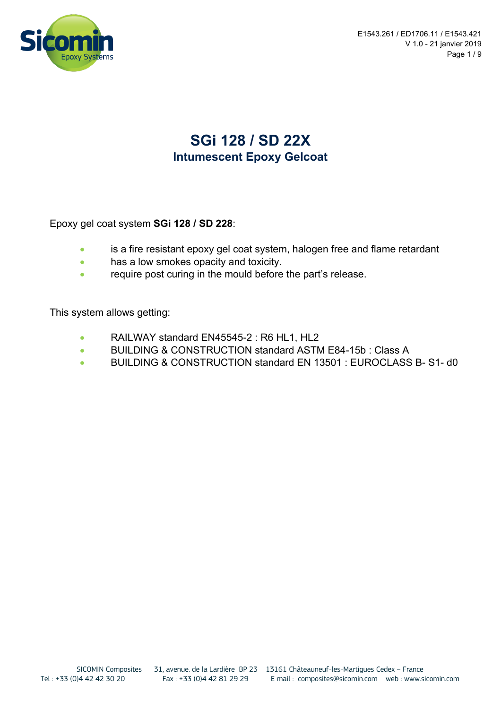

E1543.261 / ED1706.11 / E1543.421 V 1.0 - 21 janvier 2019 Page 1 / 9

## **SGi 128 / SD 22X Intumescent Epoxy Gelcoat**

Epoxy gel coat system **SGi 128 / SD 228**:

- · is a fire resistant epoxy gel coat system, halogen free and flame retardant
- · has a low smokes opacity and toxicity.
- · require post curing in the mould before the part's release.

This system allows getting:

- RAILWAY standard EN45545-2: R6 HL1, HL2
- · BUILDING & CONSTRUCTION standard ASTM E84-15b : Class A
- · BUILDING & CONSTRUCTION standard EN 13501 : EUROCLASS B- S1- d0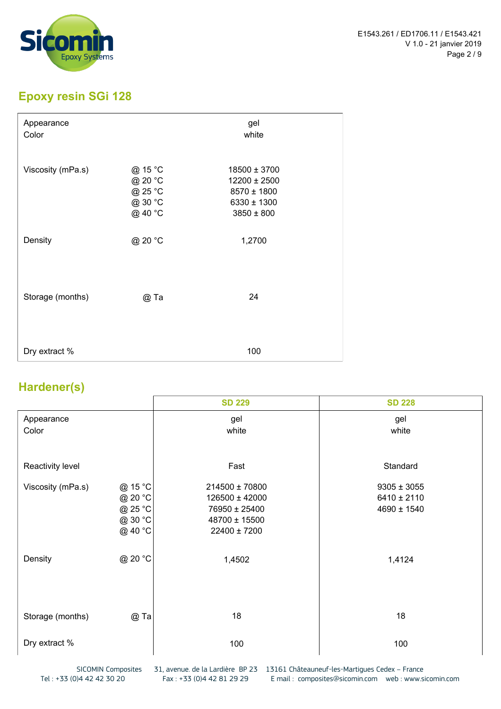

## **Epoxy resin SGi 128**

| Appearance<br>Color |                                                     | gel<br>white                                                                 |
|---------------------|-----------------------------------------------------|------------------------------------------------------------------------------|
| Viscosity (mPa.s)   | @ 15 °C<br>@ 20 °C<br>@ 25 °C<br>@ 30 °C<br>@ 40 °C | 18500 ± 3700<br>12200 ± 2500<br>8570 ± 1800<br>6330 ± 1300<br>$3850 \pm 800$ |
| Density             | @ 20 °C                                             | 1,2700                                                                       |
| Storage (months)    | @ Ta                                                | 24                                                                           |
| Dry extract %       |                                                     | 100                                                                          |

# **Hardener(s)**

|                              |                                                                | <b>SD 229</b>                                                                                | <b>SD 228</b>                                                   |
|------------------------------|----------------------------------------------------------------|----------------------------------------------------------------------------------------------|-----------------------------------------------------------------|
| Appearance<br>Color          |                                                                | gel<br>white                                                                                 | gel<br>white                                                    |
| Reactivity level             |                                                                | Fast                                                                                         | Standard                                                        |
| Viscosity (mPa.s)<br>Density | @ 15 °C<br>@ 20 °C<br>@ 25 °C<br>@ 30 °C<br>@ 40 °C<br>@ 20 °C | 214500 ± 70800<br>126500 ± 42000<br>76950 ± 25400<br>48700 ± 15500<br>22400 ± 7200<br>1,4502 | $9305 \pm 3055$<br>$6410 \pm 2110$<br>$4690 \pm 1540$<br>1,4124 |
| Storage (months)             | @Ta                                                            | 18                                                                                           | 18                                                              |
| Dry extract %                |                                                                | 100                                                                                          | 100                                                             |

SICOMIN Composites 31, avenue. de la Lardière BP 23 13161 Châteauneuf-les-Martigues Cedex – France<br>Tel: +33 (0)4 42 81 29 29 Email: composites@sicomin.com web: www.s

E mail : composites@sicomin.com web : www.sicomin.com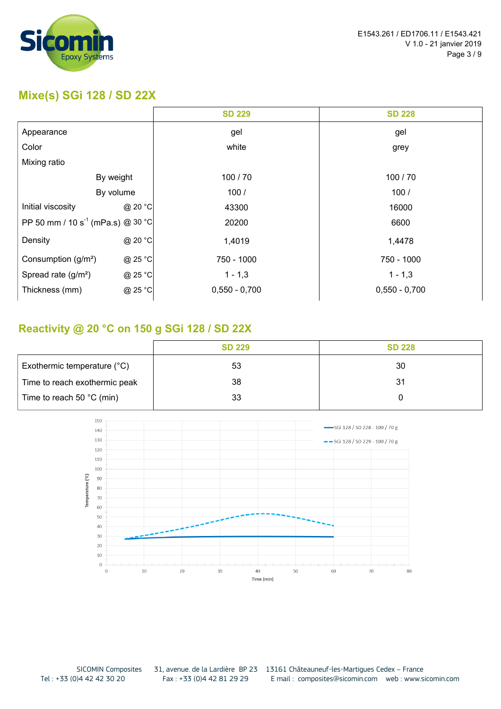

### **Mixe(s) SGi 128 / SD 22X**

|                                               | <b>SD 229</b>   | <b>SD 228</b>   |
|-----------------------------------------------|-----------------|-----------------|
| Appearance                                    | gel             | gel             |
| Color                                         | white           | grey            |
| Mixing ratio                                  |                 |                 |
| By weight                                     | 100/70          | 100/70          |
| By volume                                     | 100/            | 100/            |
| Initial viscosity<br>@ 20 °C                  | 43300           | 16000           |
| PP 50 mm / 10 s <sup>-1</sup> (mPa.s) @ 30 °C | 20200           | 6600            |
| @ 20 °C<br>Density                            | 1,4019          | 1,4478          |
| Consumption (g/m <sup>2</sup> )<br>@ 25 °C    | 750 - 1000      | 750 - 1000      |
| Spread rate $(g/m2)$<br>@ 25 °C               | $1 - 1,3$       | $1 - 1,3$       |
| Thickness (mm)<br>@ 25 °C                     | $0,550 - 0,700$ | $0,550 - 0,700$ |

## **Reactivity @ 20 °C on 150 g SGi 128 / SD 22X**

|                                      | <b>SD 229</b> | <b>SD 228</b> |
|--------------------------------------|---------------|---------------|
| Exothermic temperature $(^{\circ}C)$ | 53            | 30            |
| Time to reach exothermic peak        | 38            | 31            |
| Time to reach 50 $^{\circ}$ C (min)  | 33            |               |



SICOMIN Composites 31, avenue. de la Lardière BP 23 13161 Châteauneuf-les-Martigues Cedex – France<br>Tel: +33 (0)4 42 81 29 29 Email : composites@sicomin.com web : www.s E mail: composites@sicomin.com web : www.sicomin.com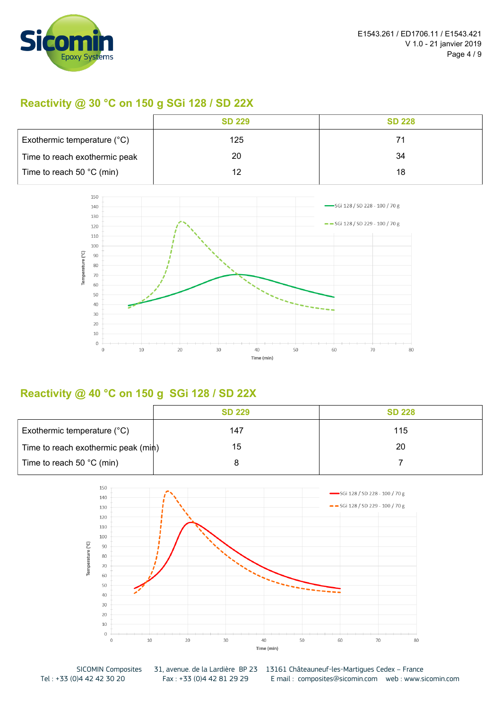

### **Reactivity @ 30 °C on 150 g SGi 128 / SD 22X**

|                                     | <b>SD 229</b> | <b>SD 228</b> |
|-------------------------------------|---------------|---------------|
| Exothermic temperature (°C)         | 125           |               |
| Time to reach exothermic peak       | 20            | 34            |
| Time to reach 50 $^{\circ}$ C (min) | 12            | 18            |



### **Reactivity @ 40 °C on 150 g SGi 128 / SD 22X**

|                                       | <b>SD 229</b> | <b>SD 228</b> |
|---------------------------------------|---------------|---------------|
| Exothermic temperature (°C)           | 147           | 115           |
| Time to reach exothermic peak $(min)$ | 15            | 20            |
| Time to reach 50 $^{\circ}$ C (min)   |               |               |



SICOMIN Composites 31, avenue. de la Lardière BP 23 13161 Châteauneuf-les-Martigues Cedex – France<br>Tel: +33 (0)4 42 81 29 29 Email : composites@sicomin.com web : www.s E mail: composites@sicomin.com web : www.sicomin.com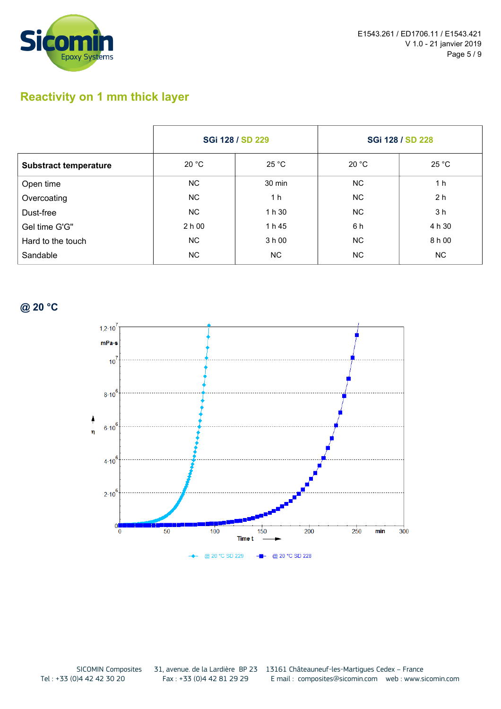

E1543.261 / ED1706.11 / E1543.421 V 1.0 - 21 janvier 2019 Page 5 / 9

## **Reactivity on 1 mm thick layer**

|                              | SGi 128 / SD 229 |                | SGi 128 / SD 228 |                |
|------------------------------|------------------|----------------|------------------|----------------|
| <b>Substract temperature</b> | 20 °C            | 25 °C          | 20 °C            | 25 °C          |
| Open time                    | <b>NC</b>        | 30 min         | N <sub>C</sub>   | 1 h            |
| Overcoating                  | N <sub>C</sub>   | 1 <sub>h</sub> | N <sub>C</sub>   | 2 <sub>h</sub> |
| Dust-free                    | N <sub>C</sub>   | 1 h 30         | N <sub>C</sub>   | 3 h            |
| Gel time G'G"                | 2h00             | 1 h 45         | 6 h              | 4 h 30         |
| Hard to the touch            | <b>NC</b>        | 3 h 00         | N <sub>C</sub>   | 8 h 00         |
| Sandable                     | <b>NC</b>        | NC.            | N <sub>C</sub>   | <b>NC</b>      |



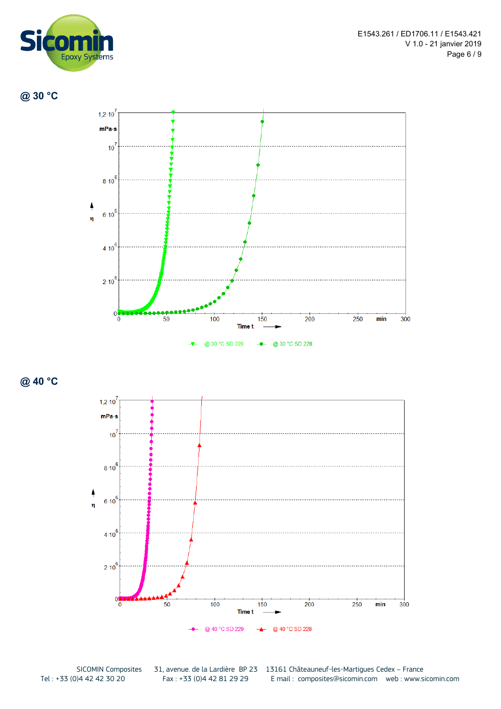

**@ 30 °C**



**@ 40 °C**



SICOMIN Composites 31, avenue. de la Lardière BP 23 13161 Châteauneuf-les-Martigues Cedex – France<br>Tel: +33 (0)4 42 81 29 29 Email: composites@sicomin.com web: www.s E mail : composites@sicomin.com web : www.sicomin.com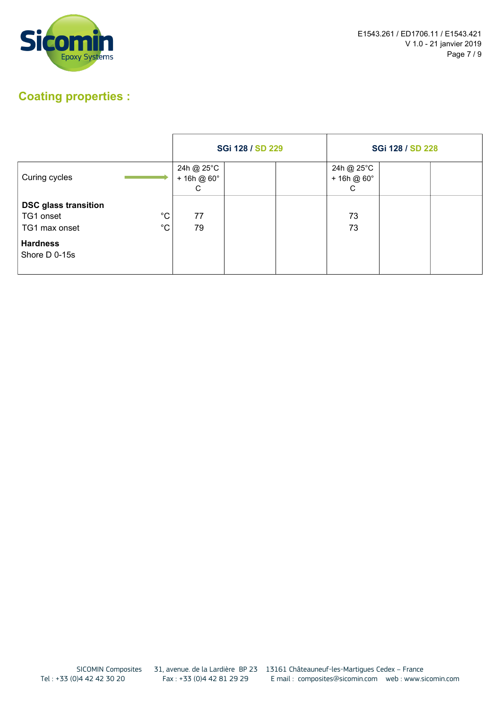

## **Coating properties :**

|                                                                                                              | SGi 128 / SD 229                          |                                | SGi 128 / SD 228 |  |
|--------------------------------------------------------------------------------------------------------------|-------------------------------------------|--------------------------------|------------------|--|
| Curing cycles                                                                                                | 24h @ 25°C<br>$+16h$ @ 60 $^{\circ}$<br>C | 24h @ 25°C<br>+ 16h @ 60°<br>C |                  |  |
| <b>DSC glass transition</b><br>$^{\circ}$ C<br>TG1 onset<br>$^{\circ}$ C<br>TG1 max onset<br><b>Hardness</b> | 77<br>79                                  | 73<br>73                       |                  |  |
| Shore D 0-15s                                                                                                |                                           |                                |                  |  |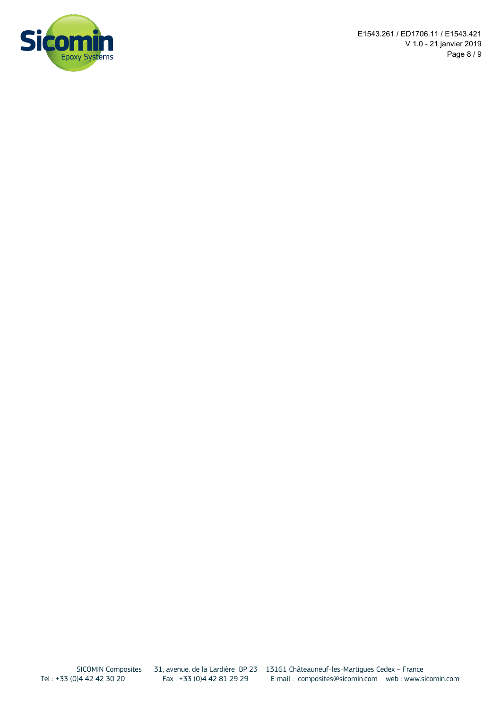

E1543.261 / ED1706.11 / E1543.421 V 1.0 - 21 janvier 2019 Page 8 / 9